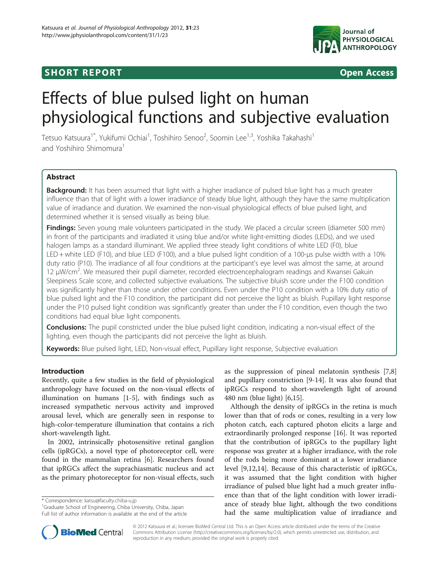# **SHORT REPORT SHORT CONSTRUCTES**



# Effects of blue pulsed light on human physiological functions and subjective evaluation

Tetsuo Katsuura<sup>1\*</sup>, Yukifumi Ochiai<sup>1</sup>, Toshihiro Senoo<sup>2</sup>, Soomin Lee<sup>1,3</sup>, Yoshika Takahashi<sup>1</sup> and Yoshihiro Shimomura<sup>1</sup>

# Abstract

Background: It has been assumed that light with a higher irradiance of pulsed blue light has a much greater influence than that of light with a lower irradiance of steady blue light, although they have the same multiplication value of irradiance and duration. We examined the non-visual physiological effects of blue pulsed light, and determined whether it is sensed visually as being blue.

Findings: Seven young male volunteers participated in the study. We placed a circular screen (diameter 500 mm) in front of the participants and irradiated it using blue and/or white light-emitting diodes (LEDs), and we used halogen lamps as a standard illuminant. We applied three steady light conditions of white LED (F0), blue LED + white LED (F10), and blue LED (F100), and a blue pulsed light condition of a 100-μs pulse width with a 10% duty ratio (P10). The irradiance of all four conditions at the participant's eye level was almost the same, at around 12 μW/cm2 . We measured their pupil diameter, recorded electroencephalogram readings and Kwansei Gakuin Sleepiness Scale score, and collected subjective evaluations. The subjective bluish score under the F100 condition was significantly higher than those under other conditions. Even under the P10 condition with a 10% duty ratio of blue pulsed light and the F10 condition, the participant did not perceive the light as bluish. Pupillary light response under the P10 pulsed light condition was significantly greater than under the F10 condition, even though the two conditions had equal blue light components.

Conclusions: The pupil constricted under the blue pulsed light condition, indicating a non-visual effect of the lighting, even though the participants did not perceive the light as bluish.

Keywords: Blue pulsed light, LED, Non-visual effect, Pupillary light response, Subjective evaluation

## Introduction

Recently, quite a few studies in the field of physiological anthropology have focused on the non-visual effects of illumination on humans [\[1](#page-4-0)-[5\]](#page-4-0), with findings such as increased sympathetic nervous activity and improved arousal level, which are generally seen in response to high-color-temperature illumination that contains a rich short-wavelength light.

In 2002, intrinsically photosensitive retinal ganglion cells (ipRGCs), a novel type of photoreceptor cell, were found in the mammalian retina [\[6\]](#page-4-0). Researchers found that ipRGCs affect the suprachiasmatic nucleus and act as the primary photoreceptor for non-visual effects, such

\* Correspondence: [katsu@faculty.chiba-u.jp](mailto:katsu@faculty.chiba--.jp) <sup>1</sup>

<sup>1</sup>Graduate School of Engineering, Chiba University, Chiba, Japan Full list of author information is available at the end of the article as the suppression of pineal melatonin synthesis [\[7,8](#page-4-0)] and pupillary constriction [[9-14](#page-4-0)]. It was also found that ipRGCs respond to short-wavelength light of around 480 nm (blue light) [\[6,15\]](#page-4-0).

Although the density of ipRGCs in the retina is much lower than that of rods or cones, resulting in a very low photon catch, each captured photon elicits a large and extraordinarily prolonged response [\[16\]](#page-4-0). It was reported that the contribution of ipRGCs to the pupillary light response was greater at a higher irradiance, with the role of the rods being more dominant at a lower irradiance level [\[9,12,14\]](#page-4-0). Because of this characteristic of ipRGCs, it was assumed that the light condition with higher irradiance of pulsed blue light had a much greater influence than that of the light condition with lower irradiance of steady blue light, although the two conditions had the same multiplication value of irradiance and



© 2012 Katsuura et al.; licensee BioMed Central Ltd. This is an Open Access article distributed under the terms of the Creative Commons Attribution License [\(http://creativecommons.org/licenses/by/2.0\)](http://creativecommons.org/licenses/by/2.0), which permits unrestricted use, distribution, and reproduction in any medium, provided the original work is properly cited.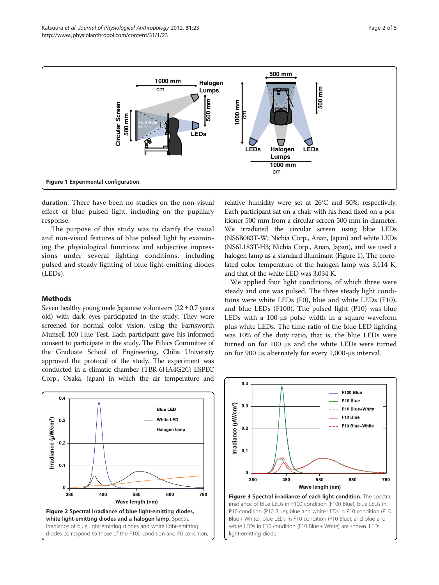<span id="page-1-0"></span>

duration. There have been no studies on the non-visual effect of blue pulsed light, including on the pupillary response.

The purpose of this study was to clarify the visual and non-visual features of blue pulsed light by examining the physiological functions and subjective impressions under several lighting conditions, including pulsed and steady lighting of blue light-emitting diodes (LEDs).

### Methods

Seven healthy young male Japanese volunteers  $(22 \pm 0.7)$  years old) with dark eyes participated in the study. They were screened for normal color vision, using the Farnsworth Munsell 100 Hue Test. Each participant gave his informed consent to participate in the study. The Ethics Committee of the Graduate School of Engineering, Chiba University approved the protocol of the study. The experiment was conducted in a climatic chamber (TBR-6HA4G2C; ESPEC Corp., Osaka, Japan) in which the air temperature and

relative humidity were set at 26°C and 50%, respectively. Each participant sat on a chair with his head fixed on a positioner 500 mm from a circular screen 500 mm in diameter. We irradiated the circular screen using blue LEDs (NS6B083T-W; Nichia Corp., Anan, Japan) and white LEDs (NS6L183T-H3; Nichia Corp., Anan, Japan), and we used a halogen lamp as a standard illuminant (Figure 1). The correlated color temperature of the halogen lamp was 3,114 K, and that of the white LED was 3,034 K.

We applied four light conditions, of which three were steady and one was pulsed. The three steady light conditions were white LEDs (F0), blue and white LEDs (F10), and blue LEDs (F100). The pulsed light (P10) was blue LEDs with a 100-μs pulse width in a square waveform plus white LEDs. The time ratio of the blue LED lighting was 10% of the duty ratio, that is, the blue LEDs were turned on for 100 μs and the white LEDs were turned on for 900 μs alternately for every 1,000-μs interval.





P10 condition (P10 Blue), blue and white LEDs in P10 condition (P10 Blue + White), blue LEDs in F10 condition (F10 Blue), and blue and white LEDs in F10 condition (F10 Blue + White) are shown. LED: light-emitting diode.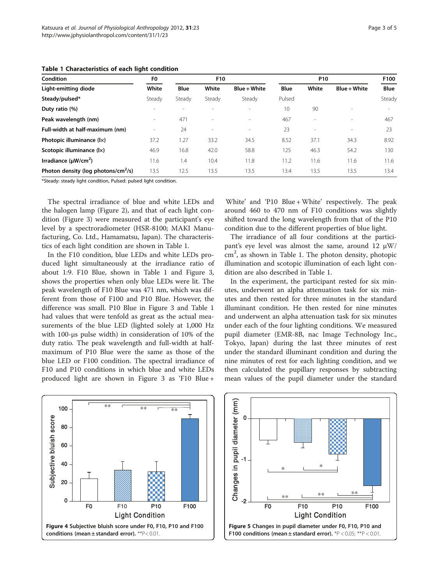| <b>Condition</b><br>Light-emitting diode        | F <sub>0</sub><br>White | F10    |                          |              | P <sub>10</sub> |                          |                | F100   |
|-------------------------------------------------|-------------------------|--------|--------------------------|--------------|-----------------|--------------------------|----------------|--------|
|                                                 |                         | Blue   | White                    | Blue + White | <b>Blue</b>     | White                    | $Blue + White$ | Blue   |
| Steady/pulsed*                                  | Steady                  | Steady | Steady                   | Steady       | Pulsed          |                          |                | Steady |
| Duty ratio (%)                                  |                         |        |                          |              | 10              | 90                       |                |        |
| Peak wavelength (nm)                            |                         | 471    |                          |              | 467             | $\overline{\phantom{a}}$ | $\sim$         | 467    |
| Full-width at half-maximum (nm)                 |                         | 24     | $\overline{\phantom{a}}$ | $\sim$       | 23              | $\overline{\phantom{a}}$ | $\sim$         | 23     |
| Photopic illuminance (lx)                       | 37.2                    | 1.27   | 33.2                     | 34.5         | 8.52            | 37.1                     | 34.3           | 8.92   |
| Scotopic illuminance (lx)                       | 46.9                    | 16.8   | 42.0                     | 58.8         | 125             | 46.3                     | 54.2           | 130    |
| Irradiance $(\mu W/cm^2)$                       | 11.6                    | 1.4    | 10.4                     | 11.8         | 11.2            | 11.6                     | 11.6           | 11.6   |
| Photon density (log photons/cm <sup>2</sup> /s) | 13.5                    | 12.5   | 13.5                     | 13.5         | 13.4            | 13.5                     | 13.5           | 13.4   |

<span id="page-2-0"></span>Table 1 Characteristics of each light condition

\*Steady: steady light condition, Pulsed: pulsed light condition.

The spectral irradiance of blue and white LEDs and the halogen lamp (Figure [2\)](#page-1-0), and that of each light condition (Figure [3](#page-1-0)) were measured at the participant's eye level by a spectroradiometer (HSR-8100; MAKI Manufacturing, Co. Ltd., Hamamatsu, Japan). The characteristics of each light condition are shown in Table 1.

In the F10 condition, blue LEDs and white LEDs produced light simultaneously at the irradiance ratio of about 1:9. F10 Blue, shown in Table 1 and Figure [3](#page-1-0), shows the properties when only blue LEDs were lit. The peak wavelength of F10 Blue was 471 nm, which was different from those of F100 and P10 Blue. However, the difference was small. P10 Blue in Figure [3](#page-1-0) and Table 1 had values that were tenfold as great as the actual measurements of the blue LED (lighted solely at 1,000 Hz with 100-μs pulse width) in consideration of 10% of the duty ratio. The peak wavelength and full-width at halfmaximum of P10 Blue were the same as those of the blue LED or F100 condition. The spectral irradiance of F10 and P10 conditions in which blue and white LEDs produced light are shown in Figure [3](#page-1-0) as 'F10 Blue +

White' and 'P10 Blue + White' respectively. The peak around 460 to 470 nm of F10 conditions was slightly shifted toward the long wavelength from that of the P10 condition due to the different properties of blue light.

The irradiance of all four conditions at the participant's eye level was almost the same, around 12 μW/ cm<sup>2</sup>, as shown in Table 1. The photon density, photopic illumination and scotopic illumination of each light condition are also described in Table 1.

In the experiment, the participant rested for six minutes, underwent an alpha attenuation task for six minutes and then rested for three minutes in the standard illuminant condition. He then rested for nine minutes and underwent an alpha attenuation task for six minutes under each of the four lighting conditions. We measured pupil diameter (EMR-8B, nac Image Technology Inc., Tokyo, Japan) during the last three minutes of rest under the standard illuminant condition and during the nine minutes of rest for each lighting condition, and we then calculated the pupillary responses by subtracting mean values of the pupil diameter under the standard



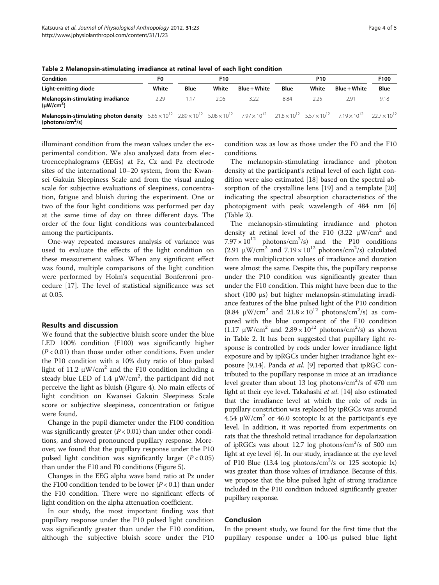| Condition                                                                                                                                                                                                                                                    | F0    | F10  |       |              | <b>P10</b> |       |              | F100        |
|--------------------------------------------------------------------------------------------------------------------------------------------------------------------------------------------------------------------------------------------------------------|-------|------|-------|--------------|------------|-------|--------------|-------------|
| Light-emitting diode                                                                                                                                                                                                                                         | White | Blue | White | Blue + White | Blue       | White | Blue + White | <b>Blue</b> |
| Melanopsin-stimulating irradiance<br>$(\mu W/cm^2)$                                                                                                                                                                                                          | 2.29  |      | 2.06  | 3.22         | 8.84       | 2.25  | 2.91         | 9.18        |
| <b>Melanopsin-stimulating photon density</b> $5.65 \times 10^{12}$ $2.89 \times 10^{12}$ $5.08 \times 10^{12}$ $7.97 \times 10^{12}$ $21.8 \times 10^{12}$ $5.57 \times 10^{12}$ $7.19 \times 10^{12}$ $22.7 \times 10^{12}$<br>(photons/cm <sup>2</sup> /s) |       |      |       |              |            |       |              |             |

Table 2 Melanopsin-stimulating irradiance at retinal level of each light condition

illuminant condition from the mean values under the experimental condition. We also analyzed data from electroencephalograms (EEGs) at Fz, Cz and Pz electrode sites of the international 10–20 system, from the Kwansei Gakuin Sleepiness Scale and from the visual analog scale for subjective evaluations of sleepiness, concentration, fatigue and bluish during the experiment. One or two of the four light conditions was performed per day at the same time of day on three different days. The order of the four light conditions was counterbalanced among the participants.

One-way repeated measures analysis of variance was used to evaluate the effects of the light condition on these measurement values. When any significant effect was found, multiple comparisons of the light condition were performed by Holm's sequential Bonferroni procedure [\[17](#page-4-0)]. The level of statistical significance was set at 0.05.

#### Results and discussion

We found that the subjective bluish score under the blue LED 100% condition (F100) was significantly higher  $(P<0.01)$  than those under other conditions. Even under the P10 condition with a 10% duty ratio of blue pulsed light of 11.2  $\mu$ W/cm<sup>2</sup> and the F10 condition including a steady blue LED of 1.4  $\mu$ W/cm<sup>2</sup>, the participant did not perceive the light as bluish (Figure [4](#page-2-0)). No main effects of light condition on Kwansei Gakuin Sleepiness Scale score or subjective sleepiness, concentration or fatigue were found.

Change in the pupil diameter under the F100 condition was significantly greater  $(P < 0.01)$  than under other conditions, and showed pronounced pupillary response. Moreover, we found that the pupillary response under the P10 pulsed light condition was significantly larger  $(P < 0.05)$ than under the F10 and F0 conditions (Figure [5](#page-2-0)).

Changes in the EEG alpha wave band ratio at Pz under the F100 condition tended to be lower  $(P < 0.1)$  than under the F10 condition. There were no significant effects of light condition on the alpha attenuation coefficient.

In our study, the most important finding was that pupillary response under the P10 pulsed light condition was significantly greater than under the F10 condition, although the subjective bluish score under the P10 condition was as low as those under the F0 and the F10 conditions.

The melanopsin-stimulating irradiance and photon density at the participant's retinal level of each light condition were also estimated [[18\]](#page-4-0) based on the spectral absorption of the crystalline lens [\[19](#page-4-0)] and a template [[20](#page-4-0)] indicating the spectral absorption characteristics of the photopigment with peak wavelength of 484 nm [\[6](#page-4-0)] (Table 2).

The melanopsin-stimulating irradiance and photon density at retinal level of the F10 (3.22  $\mu$ W/cm<sup>2</sup> and  $7.97 \times 10^{12}$  photons/cm<sup>2</sup>/s) and the P10 conditions (2.91  $\mu$ W/cm<sup>2</sup> and 7.19 × 10<sup>12</sup> photons/cm<sup>2</sup>/s) calculated from the multiplication values of irradiance and duration were almost the same. Despite this, the pupillary response under the P10 condition was significantly greater than under the F10 condition. This might have been due to the short (100 μs) but higher melanopsin-stimulating irradiance features of the blue pulsed light of the P10 condition  $(8.84 \text{ μW/cm}^2 \text{ and } 21.8 \times 10^{12} \text{ photons/cm}^2/\text{s})$  as compared with the blue component of the F10 condition (1.17  $\mu$ W/cm<sup>2</sup> and  $2.89 \times 10^{12}$  photons/cm<sup>2</sup>/s) as shown in Table 2. It has been suggested that pupillary light response is controlled by rods under lower irradiance light exposure and by ipRGCs under higher irradiance light ex-posure [[9,14](#page-4-0)]. Panda et al. [\[9\]](#page-4-0) reported that ipRGC contributed to the pupillary response in mice at an irradiance level greater than about 13 log photons/cm<sup>2</sup>/s of 470 nm light at their eye level. Takahashi et al. [[14](#page-4-0)] also estimated that the irradiance level at which the role of rods in pupillary constriction was replaced by ipRGCs was around 4.54 μW/cm<sup>2</sup> or 46.0 scotopic lx at the participant's eye level. In addition, it was reported from experiments on rats that the threshold retinal irradiance for depolarization of ipRGCs was about 12.7 log photons/cm<sup>2</sup>/s of 500 nm light at eye level [\[6](#page-4-0)]. In our study, irradiance at the eye level of P10 Blue (13.4 log photons/cm<sup>2</sup>/s or 125 scotopic lx) was greater than those values of irradiance. Because of this, we propose that the blue pulsed light of strong irradiance included in the P10 condition induced significantly greater pupillary response.

#### Conclusion

In the present study, we found for the first time that the pupillary response under a 100-μs pulsed blue light